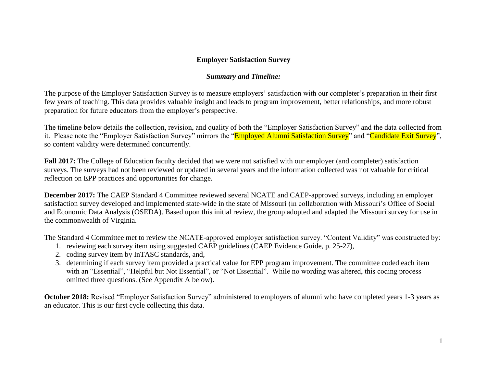## **Employer Satisfaction Survey**

## *Summary and Timeline:*

The purpose of the Employer Satisfaction Survey is to measure employers' satisfaction with our completer's preparation in their first few years of teaching. This data provides valuable insight and leads to program improvement, better relationships, and more robust preparation for future educators from the employer's perspective.

The timeline below details the collection, revision, and quality of both the "Employer Satisfaction Survey" and the data collected from it. Please note the "Employer Satisfaction Survey" mirrors the "Employed Alumni Satisfaction Survey" and "Candidate Exit Survey", so content validity were determined concurrently.

**Fall 2017:** The College of Education faculty decided that we were not satisfied with our employer (and completer) satisfaction surveys. The surveys had not been reviewed or updated in several years and the information collected was not valuable for critical reflection on EPP practices and opportunities for change.

**December 2017:** The CAEP Standard 4 Committee reviewed several NCATE and CAEP-approved surveys, including an employer satisfaction survey developed and implemented state-wide in the state of Missouri (in collaboration with Missouri's Office of Social and Economic Data Analysis (OSEDA). Based upon this initial review, the group adopted and adapted the Missouri survey for use in the commonwealth of Virginia.

The Standard 4 Committee met to review the NCATE-approved employer satisfaction survey. "Content Validity" was constructed by:

- 1. reviewing each survey item using suggested CAEP guidelines (CAEP Evidence Guide, p. 25-27),
- 2. coding survey item by InTASC standards, and,
- 3. determining if each survey item provided a practical value for EPP program improvement. The committee coded each item with an "Essential", "Helpful but Not Essential", or "Not Essential". While no wording was altered, this coding process omitted three questions. (See Appendix A below).

**October 2018:** Revised "Employer Satisfaction Survey" administered to employers of alumni who have completed years 1-3 years as an educator. This is our first cycle collecting this data.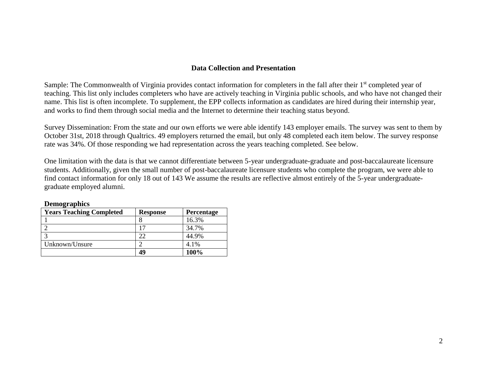### **Data Collection and Presentation**

Sample: The Commonwealth of Virginia provides contact information for completers in the fall after their 1<sup>st</sup> completed year of teaching. This list only includes completers who have are actively teaching in Virginia public schools, and who have not changed their name. This list is often incomplete. To supplement, the EPP collects information as candidates are hired during their internship year, and works to find them through social media and the Internet to determine their teaching status beyond.

Survey Dissemination: From the state and our own efforts we were able identify 143 employer emails. The survey was sent to them by October 31st, 2018 through Qualtrics. 49 employers returned the email, but only 48 completed each item below. The survey response rate was 34%. Of those responding we had representation across the years teaching completed. See below.

One limitation with the data is that we cannot differentiate between 5-year undergraduate-graduate and post-baccalaureate licensure students. Additionally, given the small number of post-baccalaureate licensure students who complete the program, we were able to find contact information for only 18 out of 143 We assume the results are reflective almost entirely of the 5-year undergraduategraduate employed alumni.

| <b>Years Teaching Completed</b> | <b>Response</b> | Percentage |
|---------------------------------|-----------------|------------|
|                                 |                 | 16.3%      |
|                                 |                 | 34.7%      |
|                                 | າາ              | 44.9%      |
| Unknown/Unsure                  |                 | 4.1%       |
|                                 | 49              | 100%       |

| <b>Demographics</b> |
|---------------------|
|---------------------|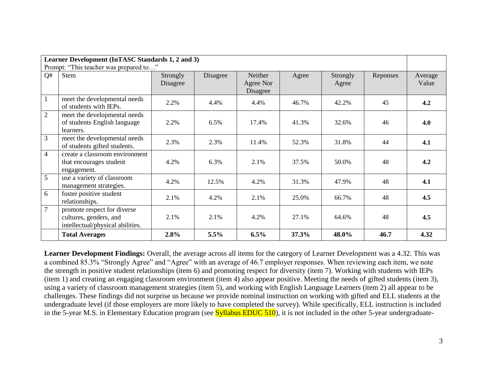| Learner Development (InTASC Standards 1, 2 and 3) |                                                                                           |                      |          |                                  |       |                   |          |                  |
|---------------------------------------------------|-------------------------------------------------------------------------------------------|----------------------|----------|----------------------------------|-------|-------------------|----------|------------------|
|                                                   | Prompt: "This teacher was prepared to"                                                    |                      |          |                                  |       |                   |          |                  |
| Q#                                                | <b>Stem</b>                                                                               | Strongly<br>Disagree | Disagree | Neither<br>Agree Nor<br>Disagree | Agree | Strongly<br>Agree | Reponses | Average<br>Value |
| $\mathbf{1}$                                      | meet the developmental needs<br>of students with IEPs.                                    | 2.2%                 | 4.4%     | 4.4%                             | 46.7% | 42.2%             | 45       | 4.2              |
| $\overline{2}$                                    | meet the developmental needs<br>of students English language<br>learners.                 | 2.2%                 | 6.5%     | 17.4%                            | 41.3% | 32.6%             | 46       | 4.0              |
| 3                                                 | meet the developmental needs<br>of students gifted students.                              | 2.3%                 | 2.3%     | 11.4%                            | 52.3% | 31.8%             | 44       | 4.1              |
| $\overline{4}$                                    | create a classroom environment<br>that encourages student<br>engagement.                  | 4.2%                 | 6.3%     | 2.1%                             | 37.5% | 50.0%             | 48       | 4.2              |
| 5                                                 | use a variety of classroom<br>management strategies.                                      | 4.2%                 | 12.5%    | 4.2%                             | 31.3% | 47.9%             | 48       | 4.1              |
| 6                                                 | foster positive student<br>relationships.                                                 | 2.1%                 | 4.2%     | 2.1%                             | 25.0% | 66.7%             | 48       | 4.5              |
| $\overline{7}$                                    | promote respect for diverse<br>cultures, genders, and<br>intellectual/physical abilities. | 2.1%                 | 2.1%     | 4.2%                             | 27.1% | 64.6%             | 48       | 4.5              |
|                                                   | <b>Total Averages</b>                                                                     | 2.8%                 | 5.5%     | 6.5%                             | 37.3% | 48.0%             | 46.7     | 4.32             |

**Learner Development Findings:** Overall, the average across all items for the category of Learner Development was a 4.32. This was a combined 85.3% "Strongly Agree" and "Agree" with an average of 46.7 employer responses. When reviewing each item, we note the strength in positive student relationships (item 6) and promoting respect for diversity (item 7). Working with students with IEPs (item 1) and creating an engaging classroom environment (item 4) also appear positive. Meeting the needs of gifted students (item 3), using a variety of classroom management strategies (item 5), and working with English Language Learners (item 2) all appear to be challenges. These findings did not surprise us because we provide nominal instruction on working with gifted and ELL students at the undergraduate level (if those employers are more likely to have completed the survey). While specifically, ELL instruction is included in the 5-year M.S. in Elementary Education program (see **Syllabus EDUC 510**), it is not included in the other 5-year undergraduate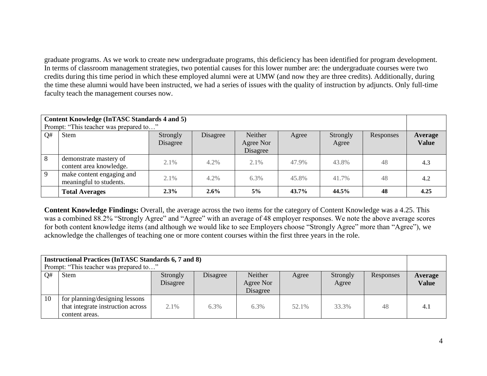graduate programs. As we work to create new undergraduate programs, this deficiency has been identified for program development. In terms of classroom management strategies, two potential causes for this lower number are: the undergraduate courses were two credits during this time period in which these employed alumni were at UMW (and now they are three credits). Additionally, during the time these alumni would have been instructed, we had a series of issues with the quality of instruction by adjuncts. Only full-time faculty teach the management courses now.

| <b>Content Knowledge (InTASC Standards 4 and 5)</b><br>Prompt: "This teacher was prepared to" |                                                      |                      |          |                                  |       |                   |           |                         |
|-----------------------------------------------------------------------------------------------|------------------------------------------------------|----------------------|----------|----------------------------------|-------|-------------------|-----------|-------------------------|
| Q#                                                                                            | <b>Stem</b>                                          | Strongly<br>Disagree | Disagree | Neither<br>Agree Nor<br>Disagree | Agree | Strongly<br>Agree | Responses | Average<br><b>Value</b> |
| 8                                                                                             | demonstrate mastery of<br>content area knowledge.    | 2.1%                 | 4.2%     | 2.1%                             | 47.9% | 43.8%             | 48        | 4.3                     |
| $\overline{9}$                                                                                | make content engaging and<br>meaningful to students. | 2.1%                 | 4.2%     | 6.3%                             | 45.8% | 41.7%             | 48        | 4.2                     |
|                                                                                               | <b>Total Averages</b>                                | 2.3%                 | $2.6\%$  | $5\%$                            | 43.7% | 44.5%             | 48        | 4.25                    |

**Content Knowledge Findings:** Overall, the average across the two items for the category of Content Knowledge was a 4.25. This was a combined 88.2% "Strongly Agree" and "Agree" with an average of 48 employer responses. We note the above average scores for both content knowledge items (and although we would like to see Employers choose "Strongly Agree" more than "Agree"), we acknowledge the challenges of teaching one or more content courses within the first three years in the role.

| <b>Instructional Practices (InTASC Standards 6, 7 and 8)</b><br>Prompt: "This teacher was prepared to" |                                                                                       |                      |          |                                  |       |                   |           |                         |
|--------------------------------------------------------------------------------------------------------|---------------------------------------------------------------------------------------|----------------------|----------|----------------------------------|-------|-------------------|-----------|-------------------------|
| Q#                                                                                                     | <b>Stem</b>                                                                           | Strongly<br>Disagree | Disagree | Neither<br>Agree Nor<br>Disagree | Agree | Strongly<br>Agree | Responses | Average<br><b>Value</b> |
| 10                                                                                                     | for planning/designing lessons<br>that integrate instruction across<br>content areas. | 2.1%                 | 6.3%     | $6.3\%$                          | 52.1% | 33.3%             | 48        | 4.1                     |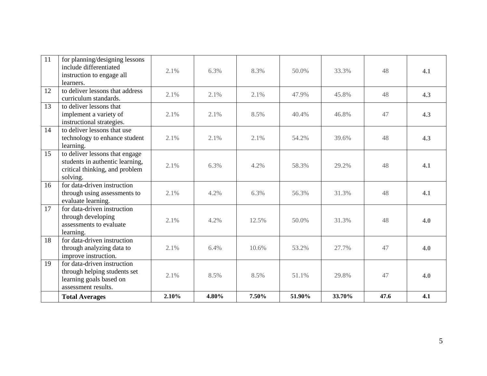| 11 | for planning/designing lessons<br>include differentiated<br>instruction to engage all<br>learners.              | 2.1%  | 6.3%  | 8.3%  | 50.0%  | 33.3%  | 48   | 4.1 |
|----|-----------------------------------------------------------------------------------------------------------------|-------|-------|-------|--------|--------|------|-----|
| 12 | to deliver lessons that address<br>curriculum standards.                                                        | 2.1%  | 2.1%  | 2.1%  | 47.9%  | 45.8%  | 48   | 4.3 |
| 13 | to deliver lessons that<br>implement a variety of<br>instructional strategies.                                  | 2.1%  | 2.1%  | 8.5%  | 40.4%  | 46.8%  | 47   | 4.3 |
| 14 | to deliver lessons that use<br>technology to enhance student<br>learning.                                       | 2.1%  | 2.1%  | 2.1%  | 54.2%  | 39.6%  | 48   | 4.3 |
| 15 | to deliver lessons that engage<br>students in authentic learning,<br>critical thinking, and problem<br>solving. | 2.1%  | 6.3%  | 4.2%  | 58.3%  | 29.2%  | 48   | 4.1 |
| 16 | for data-driven instruction<br>through using assessments to<br>evaluate learning.                               | 2.1%  | 4.2%  | 6.3%  | 56.3%  | 31.3%  | 48   | 4.1 |
| 17 | for data-driven instruction<br>through developing<br>assessments to evaluate<br>learning.                       | 2.1%  | 4.2%  | 12.5% | 50.0%  | 31.3%  | 48   | 4.0 |
| 18 | for data-driven instruction<br>through analyzing data to<br>improve instruction.                                | 2.1%  | 6.4%  | 10.6% | 53.2%  | 27.7%  | 47   | 4.0 |
| 19 | for data-driven instruction<br>through helping students set<br>learning goals based on<br>assessment results.   | 2.1%  | 8.5%  | 8.5%  | 51.1%  | 29.8%  | 47   | 4.0 |
|    | <b>Total Averages</b>                                                                                           | 2.10% | 4.80% | 7.50% | 51.90% | 33.70% | 47.6 | 4.1 |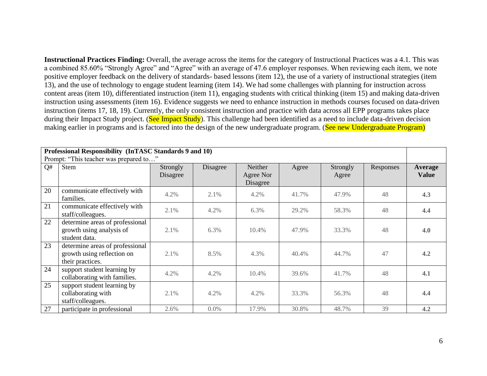**Instructional Practices Finding:** Overall, the average across the items for the category of Instructional Practices was a 4.1. This was a combined 85.60% "Strongly Agree" and "Agree" with an average of 47.6 employer responses. When reviewing each item, we note positive employer feedback on the delivery of standards- based lessons (item 12), the use of a variety of instructional strategies (item 13), and the use of technology to engage student learning (item 14). We had some challenges with planning for instruction across content areas (item 10), differentiated instruction (item 11), engaging students with critical thinking (item 15) and making data-driven instruction using assessments (item 16). Evidence suggests we need to enhance instruction in methods courses focused on data-driven instruction (items 17, 18, 19). Currently, the only consistent instruction and practice with data across all EPP programs takes place during their Impact Study project. (See Impact Study). This challenge had been identified as a need to include data-driven decision making earlier in programs and is factored into the design of the new undergraduate program. (See new Undergraduate Program)

| Professional Responsibility (InTASC Standards 9 and 10) |                                                             |          |          |                       |          |          |           |              |
|---------------------------------------------------------|-------------------------------------------------------------|----------|----------|-----------------------|----------|----------|-----------|--------------|
|                                                         | Prompt: "This teacher was prepared to"                      |          |          |                       |          |          |           |              |
| Q#                                                      | <b>Stem</b>                                                 | Strongly | Disagree | Neither               | Agree    | Strongly | Responses | Average      |
|                                                         |                                                             | Disagree |          | Agree Nor<br>Disagree |          | Agree    |           | <b>Value</b> |
| 20                                                      | communicate effectively with<br>families.                   | 4.2%     | 2.1%     | 4.2%                  | 41.7%    | 47.9%    | 48        | 4.3          |
| 21                                                      | communicate effectively with<br>staff/colleagues.           | 2.1%     | 4.2%     | 6.3%                  | 29.2%    | 58.3%    | 48        | 4.4          |
| 22                                                      | determine areas of professional<br>growth using analysis of | 2.1%     | 6.3%     | 10.4%                 | 47.9%    | 33.3%    | 48        | 4.0          |
|                                                         | student data.                                               |          |          |                       |          |          |           |              |
| 23                                                      | determine areas of professional                             |          |          |                       |          |          | 47        |              |
|                                                         | growth using reflection on<br>their practices.              | 2.1%     | 8.5%     | 4.3%                  | $40.4\%$ | 44.7%    |           | 4.2          |
| 24                                                      | support student learning by<br>collaborating with families. | 4.2%     | 4.2%     | 10.4%                 | 39.6%    | 41.7%    | 48        | 4.1          |
| 25                                                      | support student learning by                                 |          |          |                       |          |          |           |              |
|                                                         | collaborating with<br>staff/colleagues.                     | 2.1%     | 4.2%     | 4.2%                  | 33.3%    | 56.3%    | 48        | 4.4          |
| 27                                                      | participate in professional                                 | 2.6%     | 0.0%     | 17.9%                 | 30.8%    | 48.7%    | 39        | 4.2          |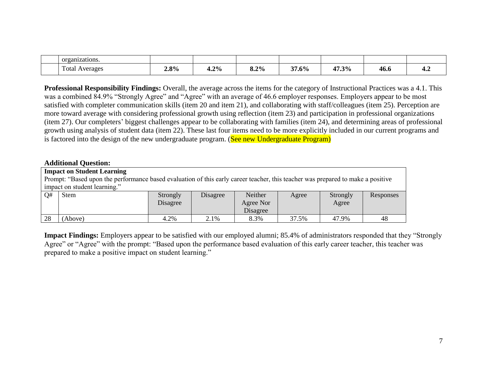| organizations.    |         |         |      |                   |       |      |                      |
|-------------------|---------|---------|------|-------------------|-------|------|----------------------|
| Total<br>Averages | $2.8\%$ | $4.2\%$ | 8.2% | $1.6\%$<br>$\sim$ | 47.3% | 46.6 | $T^{\bullet\bullet}$ |

**Professional Responsibility Findings:** Overall, the average across the items for the category of Instructional Practices was a 4.1. This was a combined 84.9% "Strongly Agree" and "Agree" with an average of 46.6 employer responses. Employers appear to be most satisfied with completer communication skills (item 20 and item 21), and collaborating with staff/colleagues (item 25). Perception are more toward average with considering professional growth using reflection (item 23) and participation in professional organizations (item 27). Our completers' biggest challenges appear to be collaborating with families (item 24), and determining areas of professional growth using analysis of student data (item 22). These last four items need to be more explicitly included in our current programs and is factored into the design of the new undergraduate program. (See new Undergraduate Program)

#### **Additional Question:**

|                                                                                                                                 | <b>Impact on Student Learning</b> |          |          |           |       |          |           |
|---------------------------------------------------------------------------------------------------------------------------------|-----------------------------------|----------|----------|-----------|-------|----------|-----------|
| Prompt: "Based upon the performance based evaluation of this early career teacher, this teacher was prepared to make a positive |                                   |          |          |           |       |          |           |
|                                                                                                                                 | impact on student learning."      |          |          |           |       |          |           |
| Q#                                                                                                                              | <b>Stem</b>                       | Strongly | Disagree | Neither   | Agree | Strongly | Responses |
|                                                                                                                                 |                                   | Disagree |          | Agree Nor |       | Agree    |           |
|                                                                                                                                 |                                   |          |          | Disagree  |       |          |           |
| 28                                                                                                                              | (Above)                           | 4.2%     | 2.1%     | 8.3%      | 37.5% | 47.9%    | 48        |

**Impact Findings:** Employers appear to be satisfied with our employed alumni; 85.4% of administrators responded that they "Strongly Agree" or "Agree" with the prompt: "Based upon the performance based evaluation of this early career teacher, this teacher was prepared to make a positive impact on student learning."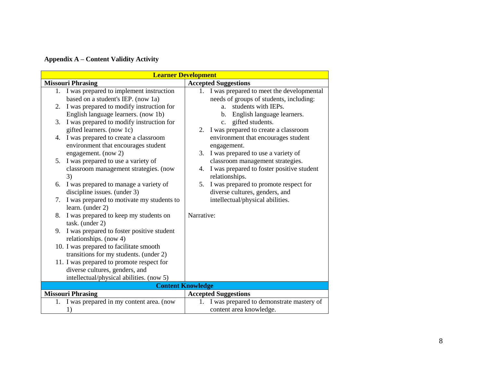# **Appendix A – Content Validity Activity**

| <b>Learner Development</b>                                                                                                            |                                                                                                                                                |
|---------------------------------------------------------------------------------------------------------------------------------------|------------------------------------------------------------------------------------------------------------------------------------------------|
| <b>Missouri Phrasing</b>                                                                                                              | <b>Accepted Suggestions</b>                                                                                                                    |
| I was prepared to implement instruction<br>1.<br>based on a student's IEP. (now 1a)<br>I was prepared to modify instruction for<br>2. | 1. I was prepared to meet the developmental<br>needs of groups of students, including:<br>students with IEPs.<br>a.                            |
| English language learners. (now 1b)<br>I was prepared to modify instruction for<br>3.                                                 | b. English language learners.<br>c. gifted students.                                                                                           |
| gifted learners. (now 1c)<br>I was prepared to create a classroom<br>4.<br>environment that encourages student                        | 2. I was prepared to create a classroom<br>environment that encourages student<br>engagement.                                                  |
| engagement. (now 2)<br>I was prepared to use a variety of<br>5.<br>classroom management strategies. (now<br>3)                        | 3. I was prepared to use a variety of<br>classroom management strategies.<br>I was prepared to foster positive student<br>4.<br>relationships. |
| I was prepared to manage a variety of<br>6.<br>discipline issues. (under 3)                                                           | I was prepared to promote respect for<br>5.<br>diverse cultures, genders, and                                                                  |
| I was prepared to motivate my students to<br>7.<br>learn. (under 2)                                                                   | intellectual/physical abilities.                                                                                                               |
| I was prepared to keep my students on<br>8.<br>task. (under 2)                                                                        | Narrative:                                                                                                                                     |
| I was prepared to foster positive student<br>9.<br>relationships. (now 4)                                                             |                                                                                                                                                |
| 10. I was prepared to facilitate smooth<br>transitions for my students. (under 2)                                                     |                                                                                                                                                |
| 11. I was prepared to promote respect for<br>diverse cultures, genders, and<br>intellectual/physical abilities. (now 5)               |                                                                                                                                                |
|                                                                                                                                       | <b>Content Knowledge</b>                                                                                                                       |
| <b>Missouri Phrasing</b>                                                                                                              | <b>Accepted Suggestions</b>                                                                                                                    |
| I was prepared in my content area. (now<br>1.<br>1)                                                                                   | I was prepared to demonstrate mastery of<br>1.<br>content area knowledge.                                                                      |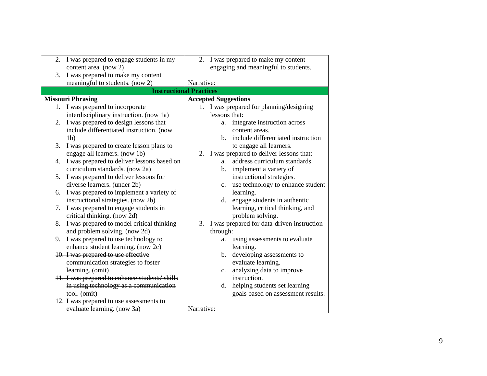|    | 2. I was prepared to engage students in my     |            |                | 2. I was prepared to make my content          |
|----|------------------------------------------------|------------|----------------|-----------------------------------------------|
|    | content area. (now 2)                          |            |                | engaging and meaningful to students.          |
| 3. | I was prepared to make my content              |            |                |                                               |
|    | meaningful to students. (now 2)                | Narrative: |                |                                               |
|    | <b>Instructional Practices</b>                 |            |                |                                               |
|    | <b>Missouri Phrasing</b>                       |            |                | <b>Accepted Suggestions</b>                   |
|    | 1. I was prepared to incorporate               |            |                | 1. I was prepared for planning/designing      |
|    | interdisciplinary instruction. (now 1a)        |            | lessons that:  |                                               |
| 2. | I was prepared to design lessons that          |            | a.             | integrate instruction across                  |
|    | include differentiated instruction. (now       |            |                | content areas.                                |
|    | 1 <sub>b</sub>                                 |            |                | b. include differentiated instruction         |
| 3. | I was prepared to create lesson plans to       |            |                | to engage all learners.                       |
|    | engage all learners. (now 1b)                  |            |                | 2. I was prepared to deliver lessons that:    |
| 4. | I was prepared to deliver lessons based on     |            | a <sub>z</sub> | address curriculum standards.                 |
|    | curriculum standards. (now 2a)                 |            | b.             | implement a variety of                        |
| 5. | I was prepared to deliver lessons for          |            |                | instructional strategies.                     |
|    | diverse learners. (under 2b)                   |            | $c_{\cdot}$    | use technology to enhance student             |
|    | 6. I was prepared to implement a variety of    |            |                | learning.                                     |
|    | instructional strategies. (now 2b)             |            | d.             | engage students in authentic                  |
| 7. | I was prepared to engage students in           |            |                | learning, critical thinking, and              |
|    | critical thinking. (now 2d)                    |            |                | problem solving.                              |
| 8. | I was prepared to model critical thinking      |            |                | 3. I was prepared for data-driven instruction |
|    | and problem solving. (now 2d)                  |            | through:       |                                               |
| 9. | I was prepared to use technology to            |            |                | a. using assessments to evaluate              |
|    | enhance student learning. (now 2c)             |            |                | learning.                                     |
|    | 10. I was prepared to use effective            |            | $\mathbf{b}$ . | developing assessments to                     |
|    | communication strategies to foster             |            |                | evaluate learning.                            |
|    | learning. (omit)                               |            | c.             | analyzing data to improve                     |
|    | 11. I was prepared to enhance students' skills |            |                | instruction.                                  |
|    | in using technology as a communication         |            | d.             | helping students set learning                 |
|    | tool. (omit)                                   |            |                | goals based on assessment results.            |
|    | 12. I was prepared to use assessments to       |            |                |                                               |
|    | evaluate learning. (now 3a)                    | Narrative: |                |                                               |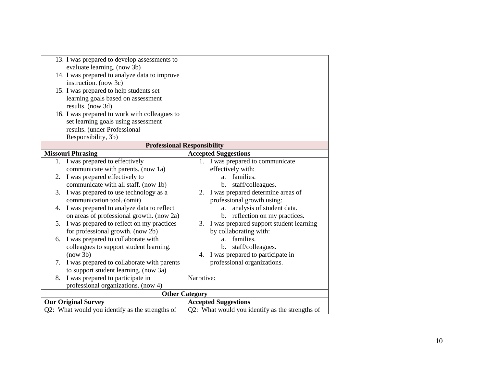| 13. I was prepared to develop assessments to    |                                                 |
|-------------------------------------------------|-------------------------------------------------|
| evaluate learning. (now 3b)                     |                                                 |
| 14. I was prepared to analyze data to improve   |                                                 |
| instruction. (now 3c)                           |                                                 |
| 15. I was prepared to help students set         |                                                 |
| learning goals based on assessment              |                                                 |
| results. (now 3d)                               |                                                 |
| 16. I was prepared to work with colleagues to   |                                                 |
| set learning goals using assessment             |                                                 |
| results. (under Professional                    |                                                 |
| Responsibility, 3b)                             |                                                 |
|                                                 | <b>Professional Responsibility</b>              |
| <b>Missouri Phrasing</b>                        | <b>Accepted Suggestions</b>                     |
| 1. I was prepared to effectively                | 1. I was prepared to communicate                |
| communicate with parents. (now 1a)              | effectively with:                               |
| I was prepared effectively to<br>2.             | families.<br>a.                                 |
| communicate with all staff. (now 1b)            | staff/colleagues.<br>$\mathbf{b}$ .             |
| 3. I was prepared to use technology as a        | I was prepared determine areas of<br>2.         |
| communication tool. (omit)                      | professional growth using:                      |
| I was prepared to analyze data to reflect<br>4. | analysis of student data.<br>a.                 |
| on areas of professional growth. (now 2a)       | b. reflection on my practices.                  |
| I was prepared to reflect on my practices<br>5. | I was prepared support student learning<br>3.   |
| for professional growth. (now 2b)               | by collaborating with:                          |
| I was prepared to collaborate with<br>6.        | families.<br>a.                                 |
| colleagues to support student learning.         | staff/colleagues.<br>$\mathbf{b}$ .             |
| (now 3b)                                        | I was prepared to participate in<br>4.          |
| 7. I was prepared to collaborate with parents   | professional organizations.                     |
| to support student learning. (now 3a)           |                                                 |
| I was prepared to participate in<br>8.          | Narrative:                                      |
| professional organizations. (now 4)             |                                                 |
|                                                 | <b>Other Category</b>                           |
| <b>Our Original Survey</b>                      | <b>Accepted Suggestions</b>                     |
| Q2: What would you identify as the strengths of | Q2: What would you identify as the strengths of |